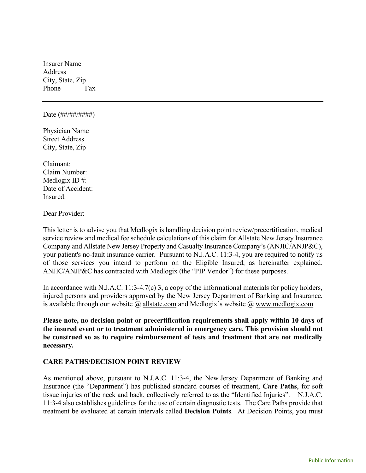Insurer Name Address City, State, Zip Phone Fax

#### Date (##/##/#####)

Physician Name Street Address City, State, Zip

Claimant: Claim Number: Medlogix ID #: Date of Accident: Insured:

Dear Provider:

This letter is to advise you that Medlogix is handling decision point review/precertification, medical service review and medical fee schedule calculations of this claim for Allstate New Jersey Insurance Company and Allstate New Jersey Property and Casualty Insurance Company's (ANJIC/ANJP&C), your patient's no-fault insurance carrier. Pursuant to N.J.A.C. 11:3-4, you are required to notify us of those services you intend to perform on the Eligible Insured, as hereinafter explained. ANJIC/ANJP&C has contracted with Medlogix (the "PIP Vendor") for these purposes.

In accordance with N.J.A.C. 11:3-4.7(c) 3, a copy of the informational materials for policy holders, injured persons and providers approved by the New Jersey Department of Banking and Insurance, is available through our website  $\omega$  allstate.com and Medlogix's website  $\omega$  www.medlogix.com

Please note, no decision point or precertification requirements shall apply within 10 days of the insured event or to treatment administered in emergency care. This provision should not be construed so as to require reimbursement of tests and treatment that are not medically necessary.

#### CARE PATHS/DECISION POINT REVIEW

As mentioned above, pursuant to N.J.A.C. 11:3-4, the New Jersey Department of Banking and Insurance (the "Department") has published standard courses of treatment, Care Paths, for soft tissue injuries of the neck and back, collectively referred to as the "Identified Injuries". N.J.A.C. 11:3-4 also establishes guidelines for the use of certain diagnostic tests. The Care Paths provide that treatment be evaluated at certain intervals called Decision Points. At Decision Points, you must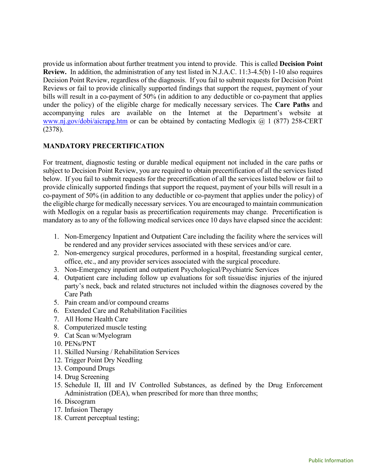provide us information about further treatment you intend to provide. This is called Decision Point Review. In addition, the administration of any test listed in N.J.A.C. 11:3-4.5(b) 1-10 also requires Decision Point Review, regardless of the diagnosis. If you fail to submit requests for Decision Point Reviews or fail to provide clinically supported findings that support the request, payment of your bills will result in a co-payment of 50% (in addition to any deductible or co-payment that applies under the policy) of the eligible charge for medically necessary services. The Care Paths and accompanying rules are available on the Internet at the Department's website at www.nj.gov/dobi/aicrapg.htm or can be obtained by contacting Medlogix @ 1 (877) 258-CERT (2378).

## MANDATORY PRECERTIFICATION

For treatment, diagnostic testing or durable medical equipment not included in the care paths or subject to Decision Point Review, you are required to obtain precertification of all the services listed below. If you fail to submit requests for the precertification of all the services listed below or fail to provide clinically supported findings that support the request, payment of your bills will result in a co-payment of 50% (in addition to any deductible or co-payment that applies under the policy) of the eligible charge for medically necessary services. You are encouraged to maintain communication with Medlogix on a regular basis as precertification requirements may change. Precertification is mandatory as to any of the following medical services once 10 days have elapsed since the accident:

- 1. Non-Emergency Inpatient and Outpatient Care including the facility where the services will be rendered and any provider services associated with these services and/or care.
- 2. Non-emergency surgical procedures, performed in a hospital, freestanding surgical center, office, etc., and any provider services associated with the surgical procedure.
- 3. Non-Emergency inpatient and outpatient Psychological/Psychiatric Services
- 4. Outpatient care including follow up evaluations for soft tissue/disc injuries of the injured party's neck, back and related structures not included within the diagnoses covered by the Care Path
- 5. Pain cream and/or compound creams
- 6. Extended Care and Rehabilitation Facilities
- 7. All Home Health Care
- 8. Computerized muscle testing
- 9. Cat Scan w/Myelogram
- 10. PENs/PNT
- 11. Skilled Nursing / Rehabilitation Services
- 12. Trigger Point Dry Needling
- 13. Compound Drugs
- 14. Drug Screening
- 15. Schedule II, III and IV Controlled Substances, as defined by the Drug Enforcement Administration (DEA), when prescribed for more than three months;
- 16. Discogram
- 17. Infusion Therapy
- 18. Current perceptual testing;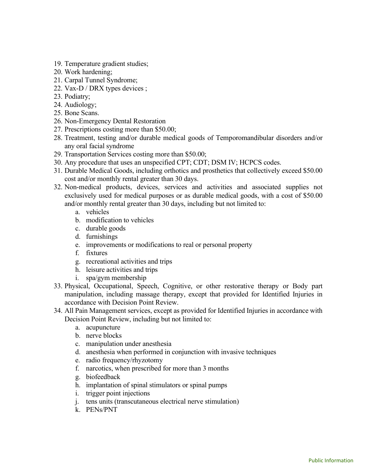- 19. Temperature gradient studies;
- 20. Work hardening;
- 21. Carpal Tunnel Syndrome;
- 22. Vax-D / DRX types devices ;
- 23. Podiatry;
- 24. Audiology;
- 25. Bone Scans.
- 26. Non-Emergency Dental Restoration
- 27. Prescriptions costing more than \$50.00;
- 28. Treatment, testing and/or durable medical goods of Temporomandibular disorders and/or any oral facial syndrome
- 29. Transportation Services costing more than \$50.00;
- 30. Any procedure that uses an unspecified CPT; CDT; DSM IV; HCPCS codes.
- 31. Durable Medical Goods, including orthotics and prosthetics that collectively exceed \$50.00 cost and/or monthly rental greater than 30 days.
- 32. Non-medical products, devices, services and activities and associated supplies not exclusively used for medical purposes or as durable medical goods, with a cost of \$50.00 and/or monthly rental greater than 30 days, including but not limited to:
	- a. vehicles
	- b. modification to vehicles
	- c. durable goods
	- d. furnishings
	- e. improvements or modifications to real or personal property
	- f. fixtures
	- g. recreational activities and trips
	- h. leisure activities and trips
	- i. spa/gym membership
- 33. Physical, Occupational, Speech, Cognitive, or other restorative therapy or Body part manipulation, including massage therapy, except that provided for Identified Injuries in accordance with Decision Point Review.
- 34. All Pain Management services, except as provided for Identified Injuries in accordance with Decision Point Review, including but not limited to:
	- a. acupuncture
	- b. nerve blocks
	- c. manipulation under anesthesia
	- d. anesthesia when performed in conjunction with invasive techniques
	- e. radio frequency/rhyzotomy
	- f. narcotics, when prescribed for more than 3 months
	- g. biofeedback
	- h. implantation of spinal stimulators or spinal pumps
	- i. trigger point injections
	- j. tens units (transcutaneous electrical nerve stimulation)
	- k. PENs/PNT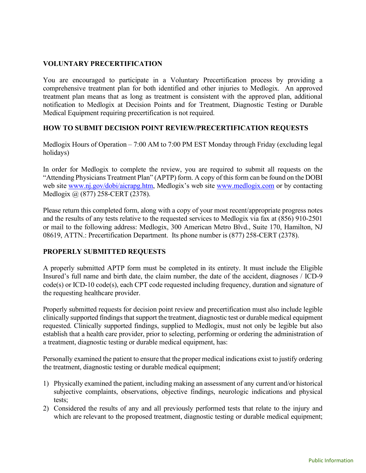## VOLUNTARY PRECERTIFICATION

You are encouraged to participate in a Voluntary Precertification process by providing a comprehensive treatment plan for both identified and other injuries to Medlogix. An approved treatment plan means that as long as treatment is consistent with the approved plan, additional notification to Medlogix at Decision Points and for Treatment, Diagnostic Testing or Durable Medical Equipment requiring precertification is not required.

### HOW TO SUBMIT DECISION POINT REVIEW/PRECERTIFICATION REQUESTS

Medlogix Hours of Operation – 7:00 AM to 7:00 PM EST Monday through Friday (excluding legal holidays)

In order for Medlogix to complete the review, you are required to submit all requests on the "Attending Physicians Treatment Plan" (APTP) form. A copy of this form can be found on the DOBI web site www.nj.gov/dobi/aicrapg.htm, Medlogix's web site www.medlogix.com or by contacting Medlogix @ (877) 258-CERT (2378).

Please return this completed form, along with a copy of your most recent/appropriate progress notes and the results of any tests relative to the requested services to Medlogix via fax at (856) 910-2501 or mail to the following address: Medlogix, 300 American Metro Blvd., Suite 170, Hamilton, NJ 08619, ATTN.: Precertification Department. Its phone number is (877) 258-CERT (2378).

# PROPERLY SUBMITTED REQUESTS

A properly submitted APTP form must be completed in its entirety. It must include the Eligible Insured's full name and birth date, the claim number, the date of the accident, diagnoses / ICD-9 code(s) or ICD-10 code(s), each CPT code requested including frequency, duration and signature of the requesting healthcare provider.

Properly submitted requests for decision point review and precertification must also include legible clinically supported findings that support the treatment, diagnostic test or durable medical equipment requested. Clinically supported findings, supplied to Medlogix, must not only be legible but also establish that a health care provider, prior to selecting, performing or ordering the administration of a treatment, diagnostic testing or durable medical equipment, has:

Personally examined the patient to ensure that the proper medical indications exist to justify ordering the treatment, diagnostic testing or durable medical equipment;

- 1) Physically examined the patient, including making an assessment of any current and/or historical subjective complaints, observations, objective findings, neurologic indications and physical tests;
- 2) Considered the results of any and all previously performed tests that relate to the injury and which are relevant to the proposed treatment, diagnostic testing or durable medical equipment;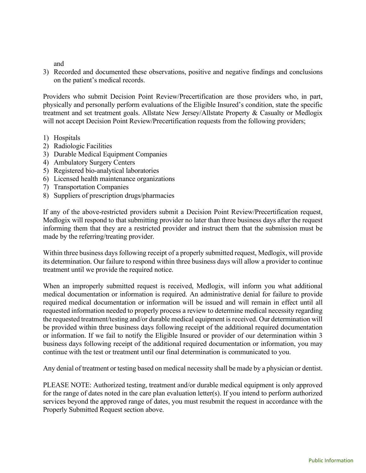and

3) Recorded and documented these observations, positive and negative findings and conclusions on the patient's medical records.

Providers who submit Decision Point Review/Precertification are those providers who, in part, physically and personally perform evaluations of the Eligible Insured's condition, state the specific treatment and set treatment goals. Allstate New Jersey/Allstate Property & Casualty or Medlogix will not accept Decision Point Review/Precertification requests from the following providers;

- 1) Hospitals
- 2) Radiologic Facilities
- 3) Durable Medical Equipment Companies
- 4) Ambulatory Surgery Centers
- 5) Registered bio-analytical laboratories
- 6) Licensed health maintenance organizations
- 7) Transportation Companies
- 8) Suppliers of prescription drugs/pharmacies

If any of the above-restricted providers submit a Decision Point Review/Precertification request, Medlogix will respond to that submitting provider no later than three business days after the request informing them that they are a restricted provider and instruct them that the submission must be made by the referring/treating provider.

Within three business days following receipt of a properly submitted request, Medlogix, will provide its determination. Our failure to respond within three business days will allow a provider to continue treatment until we provide the required notice.

When an improperly submitted request is received, Medlogix, will inform you what additional medical documentation or information is required. An administrative denial for failure to provide required medical documentation or information will be issued and will remain in effect until all requested information needed to properly process a review to determine medical necessity regarding the requested treatment/testing and/or durable medical equipment is received. Our determination will be provided within three business days following receipt of the additional required documentation or information. If we fail to notify the Eligible Insured or provider of our determination within 3 business days following receipt of the additional required documentation or information, you may continue with the test or treatment until our final determination is communicated to you.

Any denial of treatment or testing based on medical necessity shall be made by a physician or dentist.

PLEASE NOTE: Authorized testing, treatment and/or durable medical equipment is only approved for the range of dates noted in the care plan evaluation letter(s). If you intend to perform authorized services beyond the approved range of dates, you must resubmit the request in accordance with the Properly Submitted Request section above.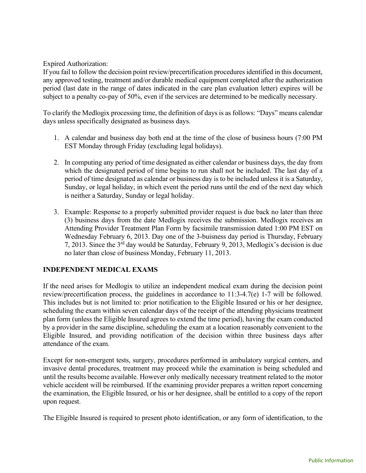Expired Authorization:

If you fail to follow the decision point review/precertification procedures identified in this document, any approved testing, treatment and/or durable medical equipment completed after the authorization period (last date in the range of dates indicated in the care plan evaluation letter) expires will be subject to a penalty co-pay of 50%, even if the services are determined to be medically necessary.

To clarify the Medlogix processing time, the definition of days is as follows: "Days" means calendar days unless specifically designated as business days.

- 1. A calendar and business day both end at the time of the close of business hours (7:00 PM EST Monday through Friday (excluding legal holidays).
- 2. In computing any period of time designated as either calendar or business days, the day from which the designated period of time begins to run shall not be included. The last day of a period of time designated as calendar or business day is to be included unless it is a Saturday, Sunday, or legal holiday, in which event the period runs until the end of the next day which is neither a Saturday, Sunday or legal holiday.
- 3. Example: Response to a properly submitted provider request is due back no later than three (3) business days from the date Medlogix receives the submission. Medlogix receives an Attending Provider Treatment Plan Form by facsimile transmission dated 1:00 PM EST on Wednesday February 6, 2013. Day one of the 3-buisness day period is Thursday, February 7, 2013. Since the 3rd day would be Saturday, February 9, 2013, Medlogix's decision is due no later than close of business Monday, February 11, 2013.

# INDEPENDENT MEDICAL EXAMS

If the need arises for Medlogix to utilize an independent medical exam during the decision point review/precertification process, the guidelines in accordance to 11:3-4.7(e) 1-7 will be followed. This includes but is not limited to: prior notification to the Eligible Insured or his or her designee, scheduling the exam within seven calendar days of the receipt of the attending physicians treatment plan form (unless the Eligible Insured agrees to extend the time period), having the exam conducted by a provider in the same discipline, scheduling the exam at a location reasonably convenient to the Eligible Insured, and providing notification of the decision within three business days after attendance of the exam.

Except for non-emergent tests, surgery, procedures performed in ambulatory surgical centers, and invasive dental procedures, treatment may proceed while the examination is being scheduled and until the results become available. However only medically necessary treatment related to the motor vehicle accident will be reimbursed. If the examining provider prepares a written report concerning the examination, the Eligible Insured, or his or her designee, shall be entitled to a copy of the report upon request.

The Eligible Insured is required to present photo identification, or any form of identification, to the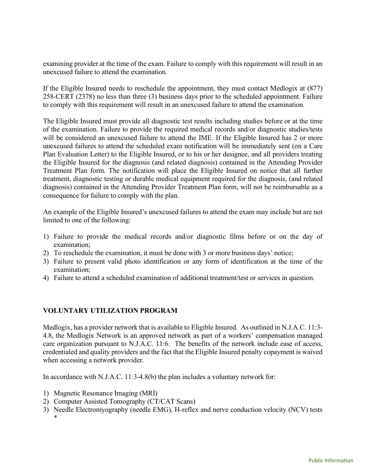examining provider at the time of the exam. Failure to comply with this requirement will result in an unexcused failure to attend the examination.

If the Eligible Insured needs to reschedule the appointment, they must contact Medlogix at (877) 258-CERT (2378) no less than three (3) business days prior to the scheduled appointment. Failure to comply with this requirement will result in an unexcused failure to attend the examination.

The Eligible Insured must provide all diagnostic test results including studies before or at the time of the examination. Failure to provide the required medical records and/or diagnostic studies/tests will be considered an unexcused failure to attend the IME. If the Eligible Insured has 2 or more unexcused failures to attend the scheduled exam notification will be immediately sent (on a Care Plan Evaluation Letter) to the Eligible Insured, or to his or her designee, and all providers treating the Eligible Insured for the diagnosis (and related diagnosis) contained in the Attending Provider Treatment Plan form. The notification will place the Eligible Insured on notice that all further treatment, diagnostic testing or durable medical equipment required for the diagnosis, (and related diagnosis) contained in the Attending Provider Treatment Plan form, will not be reimbursable as a consequence for failure to comply with the plan.

An example of the Eligible Insured's unexcused failures to attend the exam may include but are not limited to one of the following:

- 1) Failure to provide the medical records and/or diagnostic films before or on the day of examination;
- 2) To reschedule the examination, it must be done with 3 or more business days' notice;
- 3) Failure to present valid photo identification or any form of identification at the time of the examination;
- 4) Failure to attend a scheduled examination of additional treatment/test or services in question.

# VOLUNTARY UTILIZATION PROGRAM

Medlogix, has a provider network that is available to Eligible Insured. As outlined in N.J.A.C. 11:3- 4.8, the Medlogix Network is an approved network as part of a workers' compensation managed care organization pursuant to N.J.A.C. 11:6. The benefits of the network include ease of access, credentialed and quality providers and the fact that the Eligible Insured penalty copayment is waived when accessing a network provider.

In accordance with N.J.A.C. 11:3-4.8(b) the plan includes a voluntary network for:

- 1) Magnetic Resonance Imaging (MRI)
- 2) Computer Assisted Tomography (CT/CAT Scans)
- 3) Needle Electromyography (needle EMG), H-reflex and nerve conduction velocity (NCV) tests \*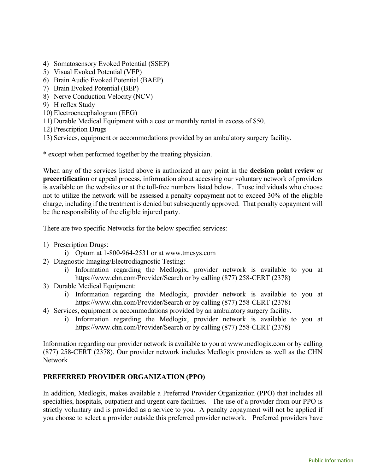- 4) Somatosensory Evoked Potential (SSEP)
- 5) Visual Evoked Potential (VEP)
- 6) Brain Audio Evoked Potential (BAEP)
- 7) Brain Evoked Potential (BEP)
- 8) Nerve Conduction Velocity (NCV)
- 9) H reflex Study
- 10) Electroencephalogram (EEG)
- 11) Durable Medical Equipment with a cost or monthly rental in excess of \$50.
- 12) Prescription Drugs
- 13) Services, equipment or accommodations provided by an ambulatory surgery facility.

\* except when performed together by the treating physician.

When any of the services listed above is authorized at any point in the **decision point review** or precertification or appeal process, information about accessing our voluntary network of providers is available on the websites or at the toll-free numbers listed below. Those individuals who choose not to utilize the network will be assessed a penalty copayment not to exceed 30% of the eligible charge, including if the treatment is denied but subsequently approved. That penalty copayment will be the responsibility of the eligible injured party.

There are two specific Networks for the below specified services:

- 1) Prescription Drugs:
	- i) Optum at 1-800-964-2531 or at www.tmesys.com
- 2) Diagnostic Imaging/Electrodiagnostic Testing:
	- i) Information regarding the Medlogix, provider network is available to you at https://www.chn.com/Provider/Search or by calling (877) 258-CERT (2378)
- 3) Durable Medical Equipment:
	- i) Information regarding the Medlogix, provider network is available to you at https://www.chn.com/Provider/Search or by calling (877) 258-CERT (2378)
- 4) Services, equipment or accommodations provided by an ambulatory surgery facility.
	- i) Information regarding the Medlogix, provider network is available to you at https://www.chn.com/Provider/Search or by calling (877) 258-CERT (2378)

Information regarding our provider network is available to you at www.medlogix.com or by calling (877) 258-CERT (2378). Our provider network includes Medlogix providers as well as the CHN Network

### PREFERRED PROVIDER ORGANIZATION (PPO)

In addition, Medlogix, makes available a Preferred Provider Organization (PPO) that includes all specialties, hospitals, outpatient and urgent care facilities. The use of a provider from our PPO is strictly voluntary and is provided as a service to you. A penalty copayment will not be applied if you choose to select a provider outside this preferred provider network. Preferred providers have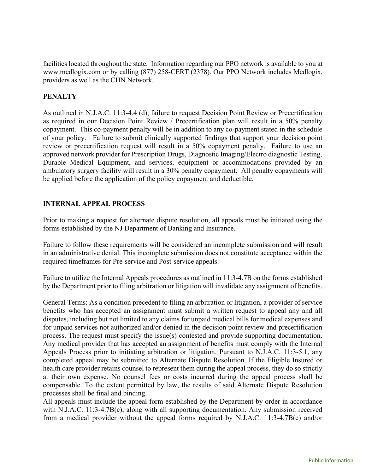facilities located throughout the state. Information regarding our PPO network is available to you at www.medlogix.com or by calling (877) 258-CERT (2378). Our PPO Network includes Medlogix, providers as well as the CHN Network.

## **PENALTY**

As outlined in N.J.A.C. 11:3-4.4 (d), failure to request Decision Point Review or Precertification as required in our Decision Point Review / Precertification plan will result in a 50% penalty copayment. This co-payment penalty will be in addition to any co-payment stated in the schedule of your policy. Failure to submit clinically supported findings that support your decision point review or precertification request will result in a 50% copayment penalty. Failure to use an approved network provider for Prescription Drugs, Diagnostic Imaging/Electro diagnostic Testing, Durable Medical Equipment, and services, equipment or accommodations provided by an ambulatory surgery facility will result in a 30% penalty copayment. All penalty copayments will be applied before the application of the policy copayment and deductible.

## INTERNAL APPEAL PROCESS

Prior to making a request for alternate dispute resolution, all appeals must be initiated using the forms established by the NJ Department of Banking and Insurance.

Failure to follow these requirements will be considered an incomplete submission and will result in an administrative denial. This incomplete submission does not constitute acceptance within the required timeframes for Pre-service and Post-service appeals.

Failure to utilize the Internal Appeals procedures as outlined in 11:3-4.7B on the forms established by the Department prior to filing arbitration or litigation will invalidate any assignment of benefits.

General Terms: As a condition precedent to filing an arbitration or litigation, a provider of service benefits who has accepted an assignment must submit a written request to appeal any and all disputes, including but not limited to any claims for unpaid medical bills for medical expenses and for unpaid services not authorized and/or denied in the decision point review and precertification process. The request must specify the issue(s) contested and provide supporting documentation. Any medical provider that has accepted an assignment of benefits must comply with the Internal Appeals Process prior to initiating arbitration or litigation. Pursuant to N.J.A.C. 11:3-5.1, any completed appeal may be submitted to Alternate Dispute Resolution. If the Eligible Insured or health care provider retains counsel to represent them during the appeal process, they do so strictly at their own expense. No counsel fees or costs incurred during the appeal process shall be compensable. To the extent permitted by law, the results of said Alternate Dispute Resolution processes shall be final and binding.

All appeals must include the appeal form established by the Department by order in accordance with N.J.A.C. 11:3-4.7B(c), along with all supporting documentation. Any submission received from a medical provider without the appeal forms required by N.J.A.C. 11:3-4.7B(c) and/or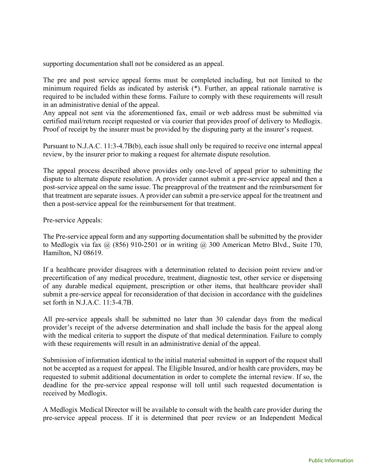supporting documentation shall not be considered as an appeal.

The pre and post service appeal forms must be completed including, but not limited to the minimum required fields as indicated by asterisk (\*). Further, an appeal rationale narrative is required to be included within these forms. Failure to comply with these requirements will result in an administrative denial of the appeal.

Any appeal not sent via the aforementioned fax, email or web address must be submitted via certified mail/return receipt requested or via courier that provides proof of delivery to Medlogix. Proof of receipt by the insurer must be provided by the disputing party at the insurer's request.

Pursuant to N.J.A.C. 11:3-4.7B(b), each issue shall only be required to receive one internal appeal review, by the insurer prior to making a request for alternate dispute resolution.

The appeal process described above provides only one-level of appeal prior to submitting the dispute to alternate dispute resolution. A provider cannot submit a pre-service appeal and then a post-service appeal on the same issue. The preapproval of the treatment and the reimbursement for that treatment are separate issues. A provider can submit a pre-service appeal for the treatment and then a post-service appeal for the reimbursement for that treatment.

Pre-service Appeals:

The Pre-service appeal form and any supporting documentation shall be submitted by the provider to Medlogix via fax  $\omega$  (856) 910-2501 or in writing  $\omega$  300 American Metro Blvd., Suite 170, Hamilton, NJ 08619.

If a healthcare provider disagrees with a determination related to decision point review and/or precertification of any medical procedure, treatment, diagnostic test, other service or dispensing of any durable medical equipment, prescription or other items, that healthcare provider shall submit a pre-service appeal for reconsideration of that decision in accordance with the guidelines set forth in N.J.A.C. 11:3-4.7B.

All pre-service appeals shall be submitted no later than 30 calendar days from the medical provider's receipt of the adverse determination and shall include the basis for the appeal along with the medical criteria to support the dispute of that medical determination. Failure to comply with these requirements will result in an administrative denial of the appeal.

Submission of information identical to the initial material submitted in support of the request shall not be accepted as a request for appeal. The Eligible Insured, and/or health care providers, may be requested to submit additional documentation in order to complete the internal review. If so, the deadline for the pre-service appeal response will toll until such requested documentation is received by Medlogix.

A Medlogix Medical Director will be available to consult with the health care provider during the pre-service appeal process. If it is determined that peer review or an Independent Medical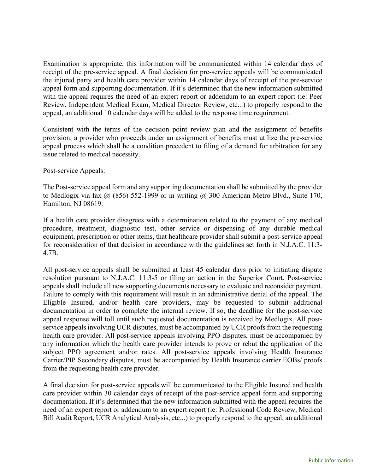Examination is appropriate, this information will be communicated within 14 calendar days of receipt of the pre-service appeal. A final decision for pre-service appeals will be communicated the injured party and health care provider within 14 calendar days of receipt of the pre-service appeal form and supporting documentation. If it's determined that the new information submitted with the appeal requires the need of an expert report or addendum to an expert report (ie: Peer Review, Independent Medical Exam, Medical Director Review, etc...) to properly respond to the appeal, an additional 10 calendar days will be added to the response time requirement.

Consistent with the terms of the decision point review plan and the assignment of benefits provision, a provider who proceeds under an assignment of benefits must utilize the pre-service appeal process which shall be a condition precedent to filing of a demand for arbitration for any issue related to medical necessity.

#### Post-service Appeals:

The Post-service appeal form and any supporting documentation shall be submitted by the provider to Medlogix via fax  $\omega$  (856) 552-1999 or in writing  $\omega$  300 American Metro Blvd., Suite 170, Hamilton, NJ 08619.

If a health care provider disagrees with a determination related to the payment of any medical procedure, treatment, diagnostic test, other service or dispensing of any durable medical equipment, prescription or other items, that healthcare provider shall submit a post-service appeal for reconsideration of that decision in accordance with the guidelines set forth in N.J.A.C. 11:3- 4.7B.

All post-service appeals shall be submitted at least 45 calendar days prior to initiating dispute resolution pursuant to N.J.A.C. 11:3-5 or filing an action in the Superior Court. Post-service appeals shall include all new supporting documents necessary to evaluate and reconsider payment. Failure to comply with this requirement will result in an administrative denial of the appeal. The Eligible Insured, and/or health care providers, may be requested to submit additional documentation in order to complete the internal review. If so, the deadline for the post-service appeal response will toll until such requested documentation is received by Medlogix. All postservice appeals involving UCR disputes, must be accompanied by UCR proofs from the requesting health care provider. All post-service appeals involving PPO disputes, must be accompanied by any information which the health care provider intends to prove or rebut the application of the subject PPO agreement and/or rates. All post-service appeals involving Health Insurance Carrier/PIP Secondary disputes, must be accompanied by Health Insurance carrier EOBs/ proofs from the requesting health care provider.

A final decision for post-service appeals will be communicated to the Eligible Insured and health care provider within 30 calendar days of receipt of the post-service appeal form and supporting documentation. If it's determined that the new information submitted with the appeal requires the need of an expert report or addendum to an expert report (ie: Professional Code Review, Medical Bill Audit Report, UCR Analytical Analysis, etc...) to properly respond to the appeal, an additional